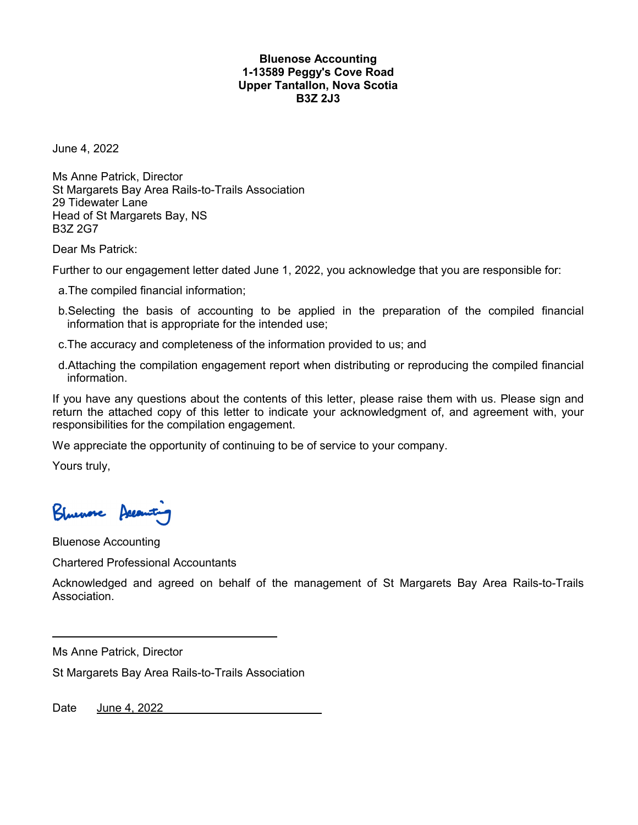# **Bluenose Accounting 1-13589 Peggy's Cove Road Upper Tantallon, Nova Scotia B3Z 2J3**

June 4, 2022

Ms Anne Patrick, Director St Margarets Bay Area Rails-to-Trails Association 29 Tidewater Lane Head of St Margarets Bay, NS B3Z 2G7

Dear Ms Patrick:

Further to our engagement letter dated June 1, 2022, you acknowledge that you are responsible for:

- a.The compiled financial information;
- b.Selecting the basis of accounting to be applied in the preparation of the compiled financial information that is appropriate for the intended use;
- c.The accuracy and completeness of the information provided to us; and
- d.Attaching the compilation engagement report when distributing or reproducing the compiled financial information.

If you have any questions about the contents of this letter, please raise them with us. Please sign and return the attached copy of this letter to indicate your acknowledgment of, and agreement with, your responsibilities for the compilation engagement.

We appreciate the opportunity of continuing to be of service to your company.

Yours truly,

Bluenose Accounts

Bluenose Accounting

Chartered Professional Accountants

Acknowledged and agreed on behalf of the management of St Margarets Bay Area Rails-to-Trails Association.

Ms Anne Patrick, Director

St Margarets Bay Area Rails-to-Trails Association

Date June 4, 2022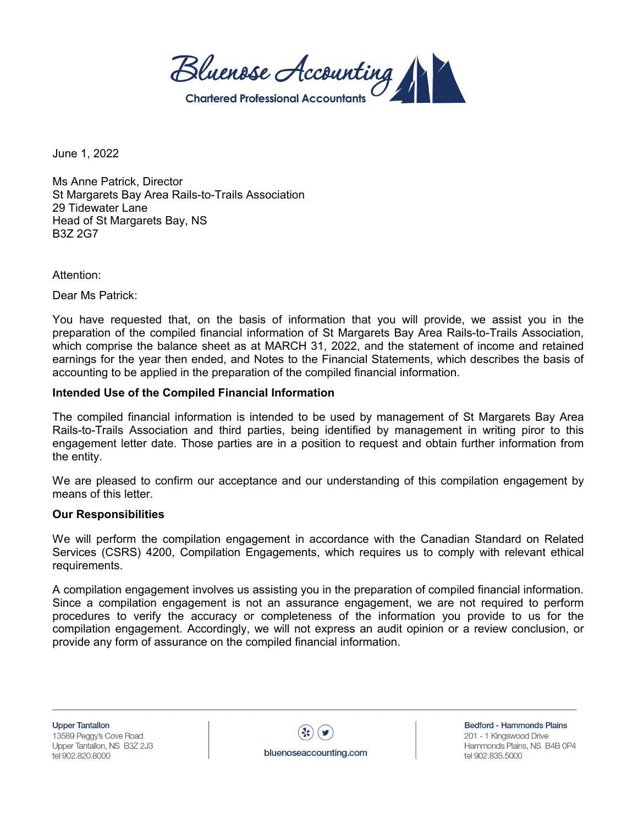Bluenose Accounting **Chartered Professional Accou** 

June 1, 2022

Ms Anne Patrick, Director St Margarets Bay Area Rails-to-Trails Association 29 Tidewater Lane Head of St Margarets Bay, NS B3Z 2G7

Attention:

Dear Ms Patrick:

You have requested that, on the basis of information that you will provide, we assist you in the preparation of the compiled financial information of St Margarets Bay Area Rails-to-Trails Association, which comprise the balance sheet as at MARCH 31, 2022, and the statement of income and retained earnings for the year then ended, and Notes to the Financial Statements, which describes the basis of accounting to be applied in the preparation of the compiled financial information.

# **Intended Use of the Compiled Financial Information**

The compiled financial information is intended to be used by management of St Margarets Bay Area Rails-to-Trails Association and third parties, being identified by management in writing piror to this engagement letter date. Those parties are in a position to request and obtain further information from the entity.

We are pleased to confirm our acceptance and our understanding of this compilation engagement by means of this letter.

#### **Our Responsibilities**

We will perform the compilation engagement in accordance with the Canadian Standard on Related Services (CSRS) 4200, Compilation Engagements, which requires us to comply with relevant ethical requirements.

A compilation engagement involves us assisting you in the preparation of compiled financial information. Since a compilation engagement is not an assurance engagement, we are not required to perform procedures to verify the accuracy or completeness of the information you provide to us for the compilation engagement. Accordingly, we will not express an audit opinion or a review conclusion, or provide any form of assurance on the compiled financial information.

**Upper Tantallon** 13589 Peggy's Cove Road Upper Tantallon, NS B3Z 2J3 tel 902.820.8000



Bedford - Hammonds Plains 201 - 1 Kingswood Drive Hammonds Plains, NS B4B 0P4 tel 902.835.5000

bluenoseaccounting.com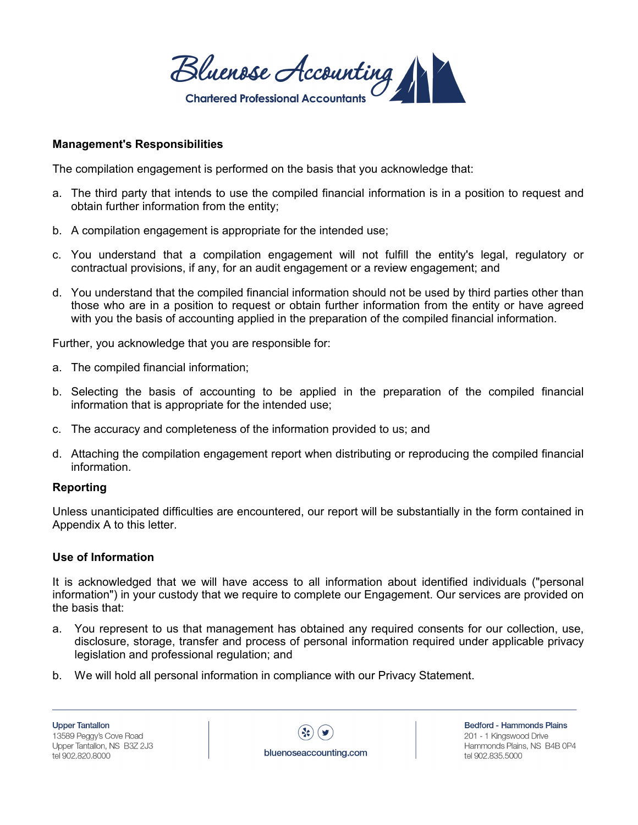Bluenose Accounting **Chartered Professional Accou** 

# **Management's Responsibilities**

The compilation engagement is performed on the basis that you acknowledge that:

- a. The third party that intends to use the compiled financial information is in a position to request and obtain further information from the entity;
- b. A compilation engagement is appropriate for the intended use;
- c. You understand that a compilation engagement will not fulfill the entity's legal, regulatory or contractual provisions, if any, for an audit engagement or a review engagement; and
- d. You understand that the compiled financial information should not be used by third parties other than those who are in a position to request or obtain further information from the entity or have agreed with you the basis of accounting applied in the preparation of the compiled financial information.

Further, you acknowledge that you are responsible for:

- a. The compiled financial information;
- b. Selecting the basis of accounting to be applied in the preparation of the compiled financial information that is appropriate for the intended use;
- c. The accuracy and completeness of the information provided to us; and
- d. Attaching the compilation engagement report when distributing or reproducing the compiled financial information.

# **Reporting**

Unless unanticipated difficulties are encountered, our report will be substantially in the form contained in Appendix A to this letter.

# **Use of Information**

It is acknowledged that we will have access to all information about identified individuals ("personal information") in your custody that we require to complete our Engagement. Our services are provided on the basis that:

- a. You represent to us that management has obtained any required consents for our collection, use, disclosure, storage, transfer and process of personal information required under applicable privacy legislation and professional regulation; and
- b. We will hold all personal information in compliance with our Privacy Statement.

**Upper Tantallon** 13589 Peggy's Cove Road Upper Tantallon, NS B3Z 2J3 tel 902.820.8000



Bedford - Hammonds Plains 201 - 1 Kingswood Drive Hammonds Plains, NS B4B 0P4 tel 902.835.5000

bluenoseaccounting.com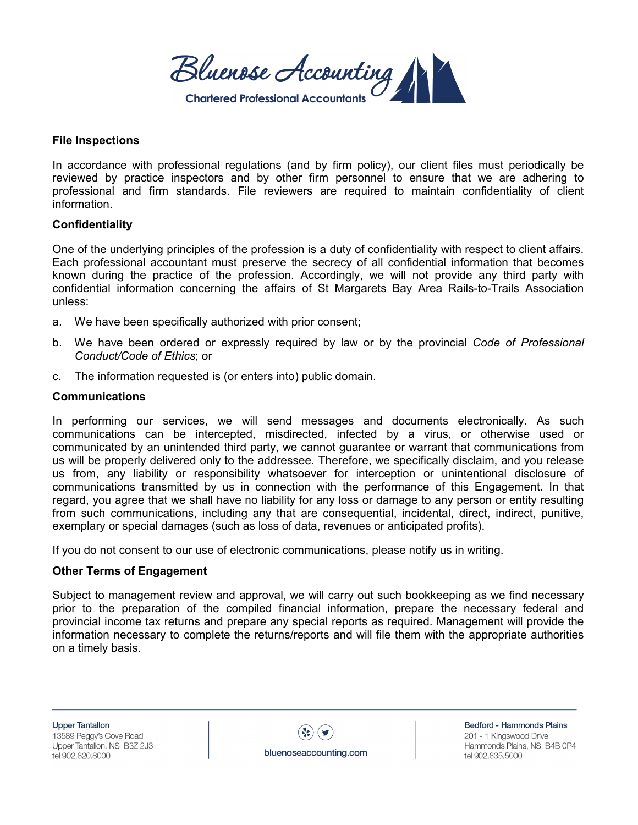Bluenose Accounting **Chartered Professional Accour** 

### **File Inspections**

In accordance with professional regulations (and by firm policy), our client files must periodically be reviewed by practice inspectors and by other firm personnel to ensure that we are adhering to professional and firm standards. File reviewers are required to maintain confidentiality of client information.

# **Confidentiality**

One of the underlying principles of the profession is a duty of confidentiality with respect to client affairs. Each professional accountant must preserve the secrecy of all confidential information that becomes known during the practice of the profession. Accordingly, we will not provide any third party with confidential information concerning the affairs of St Margarets Bay Area Rails-to-Trails Association unless:

- a. We have been specifically authorized with prior consent;
- b. We have been ordered or expressly required by law or by the provincial *Code of Professional Conduct/Code of Ethics*; or
- c. The information requested is (or enters into) public domain.

#### **Communications**

In performing our services, we will send messages and documents electronically. As such communications can be intercepted, misdirected, infected by a virus, or otherwise used or communicated by an unintended third party, we cannot guarantee or warrant that communications from us will be properly delivered only to the addressee. Therefore, we specifically disclaim, and you release us from, any liability or responsibility whatsoever for interception or unintentional disclosure of communications transmitted by us in connection with the performance of this Engagement. In that regard, you agree that we shall have no liability for any loss or damage to any person or entity resulting from such communications, including any that are consequential, incidental, direct, indirect, punitive, exemplary or special damages (such as loss of data, revenues or anticipated profits).

If you do not consent to our use of electronic communications, please notify us in writing.

#### **Other Terms of Engagement**

Subject to management review and approval, we will carry out such bookkeeping as we find necessary prior to the preparation of the compiled financial information, prepare the necessary federal and provincial income tax returns and prepare any special reports as required. Management will provide the information necessary to complete the returns/reports and will file them with the appropriate authorities on a timely basis.

**Upper Tantallon** 13589 Peggy's Cove Road Upper Tantallon, NS B3Z 2J3 tel 902.820.8000

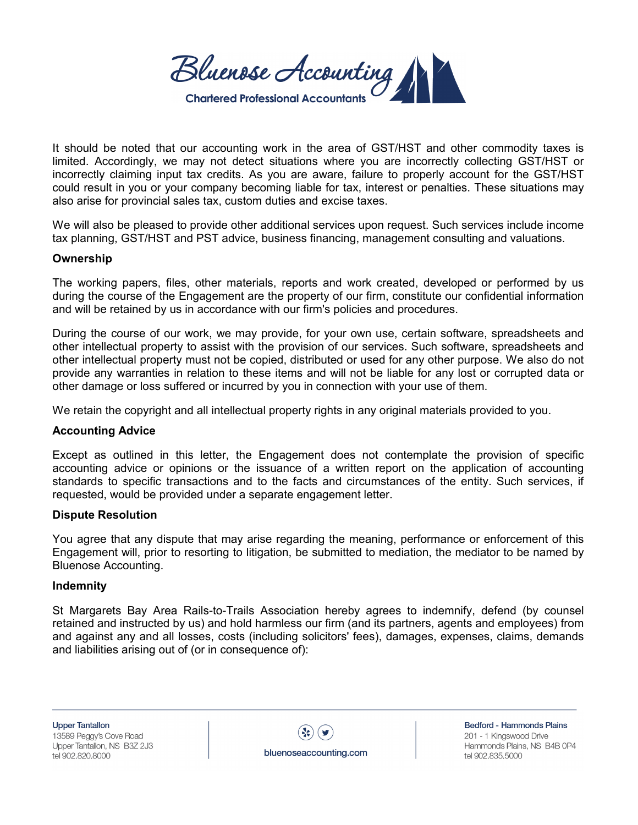Bluenose Accounting **Chartered Professional Accountan** 

It should be noted that our accounting work in the area of GST/HST and other commodity taxes is limited. Accordingly, we may not detect situations where you are incorrectly collecting GST/HST or incorrectly claiming input tax credits. As you are aware, failure to properly account for the GST/HST could result in you or your company becoming liable for tax, interest or penalties. These situations may also arise for provincial sales tax, custom duties and excise taxes.

We will also be pleased to provide other additional services upon request. Such services include income tax planning, GST/HST and PST advice, business financing, management consulting and valuations.

# **Ownership**

The working papers, files, other materials, reports and work created, developed or performed by us during the course of the Engagement are the property of our firm, constitute our confidential information and will be retained by us in accordance with our firm's policies and procedures.

During the course of our work, we may provide, for your own use, certain software, spreadsheets and other intellectual property to assist with the provision of our services. Such software, spreadsheets and other intellectual property must not be copied, distributed or used for any other purpose. We also do not provide any warranties in relation to these items and will not be liable for any lost or corrupted data or other damage or loss suffered or incurred by you in connection with your use of them.

We retain the copyright and all intellectual property rights in any original materials provided to you.

# **Accounting Advice**

Except as outlined in this letter, the Engagement does not contemplate the provision of specific accounting advice or opinions or the issuance of a written report on the application of accounting standards to specific transactions and to the facts and circumstances of the entity. Such services, if requested, would be provided under a separate engagement letter.

#### **Dispute Resolution**

You agree that any dispute that may arise regarding the meaning, performance or enforcement of this Engagement will, prior to resorting to litigation, be submitted to mediation, the mediator to be named by Bluenose Accounting.

#### **Indemnity**

St Margarets Bay Area Rails-to-Trails Association hereby agrees to indemnify, defend (by counsel retained and instructed by us) and hold harmless our firm (and its partners, agents and employees) from and against any and all losses, costs (including solicitors' fees), damages, expenses, claims, demands and liabilities arising out of (or in consequence of):

**Upper Tantallon** 13589 Peggy's Cove Road Upper Tantallon, NS B3Z 2J3 tel 902.820.8000

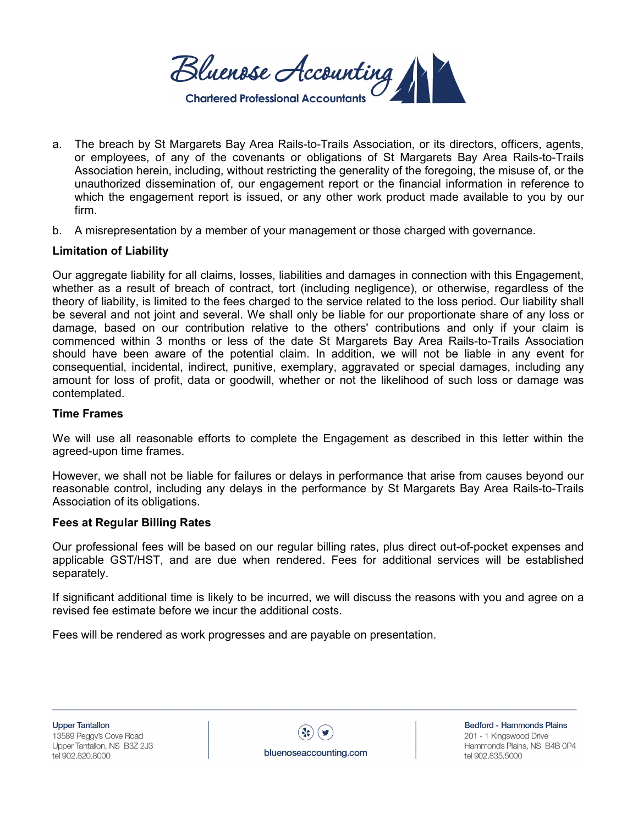Bluenose Accounting **Chartered Professional Accour** 

- a. The breach by St Margarets Bay Area Rails-to-Trails Association, or its directors, officers, agents, or employees, of any of the covenants or obligations of St Margarets Bay Area Rails-to-Trails Association herein, including, without restricting the generality of the foregoing, the misuse of, or the unauthorized dissemination of, our engagement report or the financial information in reference to which the engagement report is issued, or any other work product made available to you by our firm.
- b. A misrepresentation by a member of your management or those charged with governance.

# **Limitation of Liability**

Our aggregate liability for all claims, losses, liabilities and damages in connection with this Engagement, whether as a result of breach of contract, tort (including negligence), or otherwise, regardless of the theory of liability, is limited to the fees charged to the service related to the loss period. Our liability shall be several and not joint and several. We shall only be liable for our proportionate share of any loss or damage, based on our contribution relative to the others' contributions and only if your claim is commenced within 3 months or less of the date St Margarets Bay Area Rails-to-Trails Association should have been aware of the potential claim. In addition, we will not be liable in any event for consequential, incidental, indirect, punitive, exemplary, aggravated or special damages, including any amount for loss of profit, data or goodwill, whether or not the likelihood of such loss or damage was contemplated.

#### **Time Frames**

We will use all reasonable efforts to complete the Engagement as described in this letter within the agreed-upon time frames.

However, we shall not be liable for failures or delays in performance that arise from causes beyond our reasonable control, including any delays in the performance by St Margarets Bay Area Rails-to-Trails Association of its obligations.

#### **Fees at Regular Billing Rates**

Our professional fees will be based on our regular billing rates, plus direct out-of-pocket expenses and applicable GST/HST, and are due when rendered. Fees for additional services will be established separately.

If significant additional time is likely to be incurred, we will discuss the reasons with you and agree on a revised fee estimate before we incur the additional costs.

Fees will be rendered as work progresses and are payable on presentation.



Bedford - Hammonds Plains 201 - 1 Kingswood Drive Hammonds Plains, NS B4B 0P4 tel 902.835.5000

bluenoseaccounting.com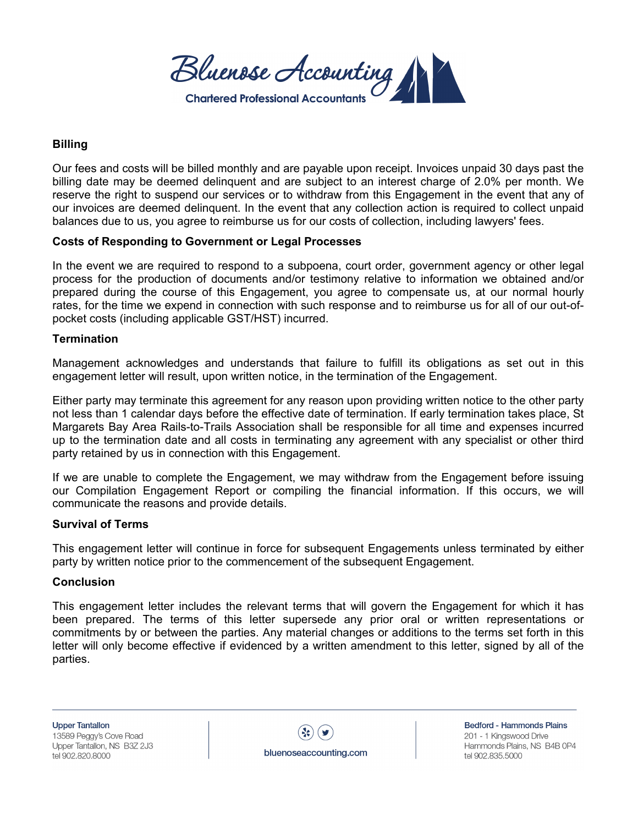Bluenose Accounting **Chartered Professional Accountan** 

# **Billing**

Our fees and costs will be billed monthly and are payable upon receipt. Invoices unpaid 30 days past the billing date may be deemed delinquent and are subject to an interest charge of 2.0% per month. We reserve the right to suspend our services or to withdraw from this Engagement in the event that any of our invoices are deemed delinquent. In the event that any collection action is required to collect unpaid balances due to us, you agree to reimburse us for our costs of collection, including lawyers' fees.

# **Costs of Responding to Government or Legal Processes**

In the event we are required to respond to a subpoena, court order, government agency or other legal process for the production of documents and/or testimony relative to information we obtained and/or prepared during the course of this Engagement, you agree to compensate us, at our normal hourly rates, for the time we expend in connection with such response and to reimburse us for all of our out-ofpocket costs (including applicable GST/HST) incurred.

#### **Termination**

Management acknowledges and understands that failure to fulfill its obligations as set out in this engagement letter will result, upon written notice, in the termination of the Engagement.

Either party may terminate this agreement for any reason upon providing written notice to the other party not less than 1 calendar days before the effective date of termination. If early termination takes place, St Margarets Bay Area Rails-to-Trails Association shall be responsible for all time and expenses incurred up to the termination date and all costs in terminating any agreement with any specialist or other third party retained by us in connection with this Engagement.

If we are unable to complete the Engagement, we may withdraw from the Engagement before issuing our Compilation Engagement Report or compiling the financial information. If this occurs, we will communicate the reasons and provide details.

#### **Survival of Terms**

This engagement letter will continue in force for subsequent Engagements unless terminated by either party by written notice prior to the commencement of the subsequent Engagement.

#### **Conclusion**

This engagement letter includes the relevant terms that will govern the Engagement for which it has been prepared. The terms of this letter supersede any prior oral or written representations or commitments by or between the parties. Any material changes or additions to the terms set forth in this letter will only become effective if evidenced by a written amendment to this letter, signed by all of the parties.

**Upper Tantallon** 13589 Peggy's Cove Road Upper Tantallon, NS B3Z 2J3 tel 902.820.8000

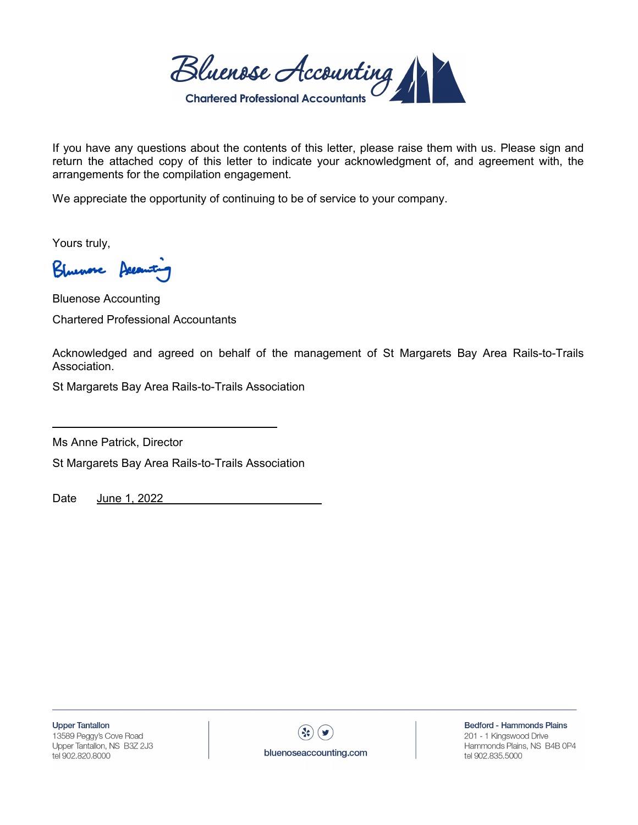Bluenose Accounting

If you have any questions about the contents of this letter, please raise them with us. Please sign and return the attached copy of this letter to indicate your acknowledgment of, and agreement with, the arrangements for the compilation engagement.

We appreciate the opportunity of continuing to be of service to your company.

Yours truly,

Kluwore

Bluenose Accounting Chartered Professional Accountants

Acknowledged and agreed on behalf of the management of St Margarets Bay Area Rails-to-Trails Association.

St Margarets Bay Area Rails-to-Trails Association

Ms Anne Patrick, Director

St Margarets Bay Area Rails-to-Trails Association

Date June 1, 2022